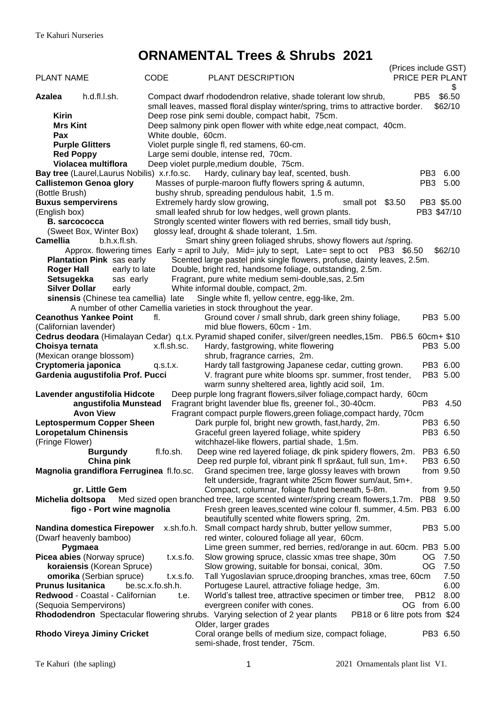# **ORNAMENTAL Trees & Shrubs 2021**

|                                              |                     |                                                                                                                                                          | (Prices include GST)            |
|----------------------------------------------|---------------------|----------------------------------------------------------------------------------------------------------------------------------------------------------|---------------------------------|
| <b>PLANT NAME</b>                            | <b>CODE</b>         | <b>PLANT DESCRIPTION</b>                                                                                                                                 | PRICE PER PLANT                 |
| h.d.fl.l.sh.<br><b>Azalea</b>                |                     | Compact dwarf rhododendron relative, shade tolerant low shrub,                                                                                           | \$<br>\$6.50<br>PB <sub>5</sub> |
|                                              |                     | small leaves, massed floral display winter/spring, trims to attractive border.                                                                           | \$62/10                         |
| <b>Kirin</b>                                 |                     | Deep rose pink semi double, compact habit, 75cm.                                                                                                         |                                 |
| <b>Mrs Kint</b>                              |                     | Deep salmony pink open flower with white edge, neat compact, 40cm.                                                                                       |                                 |
| Pax                                          | White double, 60cm. |                                                                                                                                                          |                                 |
| <b>Purple Glitters</b><br><b>Red Poppy</b>   |                     | Violet purple single fl, red stamens, 60-cm.<br>Large semi double, intense red, 70cm.                                                                    |                                 |
| Violacea multiflora                          |                     | Deep violet purple, medium double, 75cm.                                                                                                                 |                                 |
| Bay tree (Laurel, Laurus Nobilis) x.r.fo.sc. |                     | Hardy, culinary bay leaf, scented, bush.                                                                                                                 | PB3 6.00                        |
| <b>Callistemon Genoa glory</b>               |                     | Masses of purple-maroon fluffy flowers spring & autumn,                                                                                                  | PB <sub>3</sub><br>5.00         |
| (Bottle Brush)                               |                     | bushy shrub, spreading pendulous habit, 1.5 m.                                                                                                           |                                 |
| <b>Buxus sempervirens</b>                    |                     | Extremely hardy slow growing,<br>small pot \$3.50                                                                                                        | PB3 \$5.00                      |
| (English box)                                |                     | small leafed shrub for low hedges, well grown plants.                                                                                                    | PB3 \$47/10                     |
| <b>B.</b> sarcococca                         |                     | Strongly scented winter flowers with red berries, small tidy bush,                                                                                       |                                 |
| (Sweet Box, Winter Box)                      |                     | glossy leaf, drought & shade tolerant, 1.5m.                                                                                                             |                                 |
| Camellia<br>b.h.x.fl.sh.                     |                     | Smart shiny green foliaged shrubs, showy flowers aut /spring.                                                                                            |                                 |
|                                              |                     | Approx. flowering times Early = april to July, Mid= july to sept, Late= sept to oct $PB3$ \$6.50                                                         | \$62/10                         |
| Plantation Pink sas early                    |                     | Scented large pastel pink single flowers, profuse, dainty leaves, 2.5m.                                                                                  |                                 |
| <b>Roger Hall</b>                            | early to late       | Double, bright red, handsome foliage, outstanding, 2.5m.                                                                                                 |                                 |
| Setsugekka<br>sas early                      |                     | Fragrant, pure white medium semi-double, sas, 2.5m                                                                                                       |                                 |
| <b>Silver Dollar</b><br>early                |                     | White informal double, compact, 2m.                                                                                                                      |                                 |
| sinensis (Chinese tea camellia) late         |                     | Single white fl, yellow centre, egg-like, 2m.                                                                                                            |                                 |
| <b>Ceanothus Yankee Point</b>                | fl.                 | A number of other Camellia varieties in stock throughout the year.                                                                                       | PB3 5.00                        |
| (Californian lavender)                       |                     | Ground cover / small shrub, dark green shiny foliage,<br>mid blue flowers, 60cm - 1m.                                                                    |                                 |
|                                              |                     | Cedrus deodara (Himalayan Cedar) q.t.x. Pyramid shaped conifer, silver/green needles, 15m. PB6.5 60cm+ \$10                                              |                                 |
| Choisya ternata                              | x.fl.sh.sc.         | Hardy, fastgrowing, white flowering                                                                                                                      | PB3 5.00                        |
| (Mexican orange blossom)                     |                     | shrub, fragrance carries, 2m.                                                                                                                            |                                 |
| Cryptomeria japonica                         | q.s.t.x.            | Hardy tall fastgrowing Japanese cedar, cutting grown.                                                                                                    | PB3 6.00                        |
| Gardenia augustifolia Prof. Pucci            |                     | V. fragrant pure white blooms spr. summer, frost tender,                                                                                                 | PB3 5.00                        |
|                                              |                     | warm sunny sheltered area, lightly acid soil, 1m.                                                                                                        |                                 |
| Lavender angustifolia Hidcote                |                     | Deep purple long fragrant flowers, silver foliage, compact hardy, 60cm                                                                                   |                                 |
| angustifolia Munstead                        |                     | Fragrant bright lavender blue fls, greener fol., 30-40cm.                                                                                                | PB3 4.50                        |
| <b>Avon View</b>                             |                     | Fragrant compact purple flowers, green foliage, compact hardy, 70cm                                                                                      |                                 |
| <b>Leptospermum Copper Sheen</b>             |                     | Dark purple fol, bright new growth, fast, hardy, 2m.                                                                                                     | PB3 6.50                        |
| <b>Loropetalum Chinensis</b>                 |                     | Graceful green layered foliage, white spidery                                                                                                            | PB3 6.50                        |
| (Fringe Flower)                              |                     | witchhazel-like flowers, partial shade, 1.5m.                                                                                                            |                                 |
| <b>Burgundy</b>                              | fl.fo.sh.           | Deep wine red layered foliage, dk pink spidery flowers, 2m. PB3 6.50                                                                                     |                                 |
| China pink                                   |                     | Deep red purple fol, vibrant pink fl spr&aut, full sun, 1m+.                                                                                             | PB3 6.50                        |
| Magnolia grandiflora Ferruginea fl.fo.sc.    |                     | Grand specimen tree, large glossy leaves with brown<br>felt underside, fragrant white 25cm flower sum/aut, 5m+.                                          | from $9.50$                     |
| gr. Little Gem<br>Michelia doltsopa          |                     | Compact, columnar, foliage fluted beneath, 5-8m.                                                                                                         | from $9.50$<br>9.50             |
| figo - Port wine magnolia                    |                     | Med sized open branched tree, large scented winter/spring cream flowers, 1.7m. PB8<br>Fresh green leaves, scented wine colour fl. summer, 4.5m. PB3 6.00 |                                 |
|                                              |                     | beautifully scented white flowers spring, 2m.                                                                                                            |                                 |
| Nandina domestica Firepower                  | x.sh.fo.h.          | Small compact hardy shrub, butter yellow summer,                                                                                                         | PB3 5.00                        |
| (Dwarf heavenly bamboo)                      |                     | red winter, coloured foliage all year, 60cm.                                                                                                             |                                 |
| Pygmaea                                      |                     | Lime green summer, red berries, red/orange in aut. 60cm. PB3 5.00                                                                                        |                                 |
| Picea abies (Norway spruce)                  | t.x.s.fo.           | Slow growing spruce, classic xmas tree shape, 30m                                                                                                        | OG.<br>7.50                     |
| koraiensis (Korean Spruce)                   |                     | Slow growing, suitable for bonsai, conical, 30m.                                                                                                         | OG<br>7.50                      |
| <b>omorika</b> (Serbian spruce)              | t.x.s.fo.           | Tall Yugoslavian spruce, drooping branches, xmas tree, 60cm                                                                                              | 7.50                            |
| <b>Prunus Iusitanica</b>                     | be.sc.x.fo.sh.h.    | Portugese Laurel, attractive foliage hedge, 3m.                                                                                                          | 6.00                            |
| Redwood - Coastal - Californian              | t.e.                | World's tallest tree, attractive specimen or timber tree,                                                                                                | 8.00<br>PB <sub>12</sub>        |
| (Sequoia Sempervirons)                       |                     | evergreen conifer with cones.                                                                                                                            | OG from 6.00                    |
|                                              |                     | Rhododendron Spectacular flowering shrubs. Varying selection of 2 year plants                                                                            | PB18 or 6 litre pots from \$24  |
|                                              |                     | Older, larger grades                                                                                                                                     |                                 |
| <b>Rhodo Vireya Jiminy Cricket</b>           |                     | Coral orange bells of medium size, compact foliage,                                                                                                      | PB3 6.50                        |
|                                              |                     | semi-shade, frost tender, 75cm.                                                                                                                          |                                 |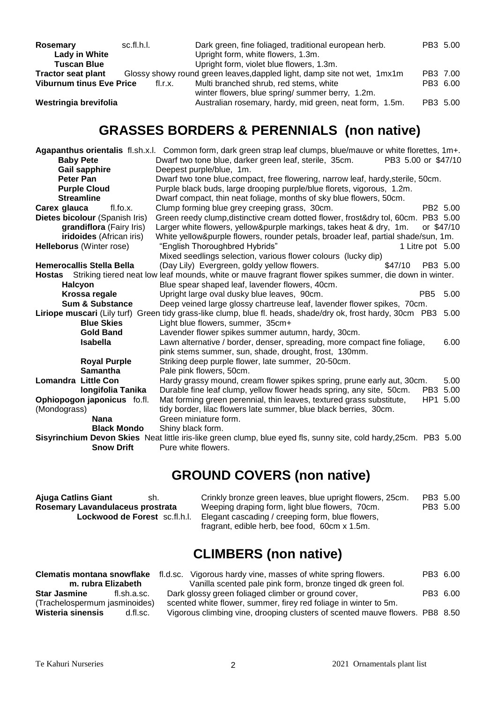| Rosemary                        | sc.fl.h.l. | Dark green, fine foliaged, traditional european herb.                    | PB3 5.00 |
|---------------------------------|------------|--------------------------------------------------------------------------|----------|
| <b>Lady in White</b>            |            | Upright form, white flowers, 1.3m.                                       |          |
| <b>Tuscan Blue</b>              |            | Upright form, violet blue flowers, 1.3m.                                 |          |
| <b>Tractor seat plant</b>       |            | Glossy showy round green leaves, dappled light, damp site not wet, 1mx1m | PB3 7.00 |
| <b>Viburnum tinus Eve Price</b> | fl.r.x.    | Multi branched shrub, red stems, white                                   | PB3 6.00 |
|                                 |            | winter flowers, blue spring/summer berry, 1.2m.                          |          |
| Westringia brevifolia           |            | Australian rosemary, hardy, mid green, neat form, 1.5m.                  | PB3 5.00 |

### **GRASSES BORDERS & PERENNIALS (non native)**

|                                                                                                                   | Agapanthus orientalis fl.sh.x.l. Common form, dark green strap leaf clumps, blue/mauve or white florettes, 1m+. |      |  |
|-------------------------------------------------------------------------------------------------------------------|-----------------------------------------------------------------------------------------------------------------|------|--|
| <b>Baby Pete</b>                                                                                                  | Dwarf two tone blue, darker green leaf, sterile, 35cm.<br>PB3 5.00 or \$47/10                                   |      |  |
| <b>Gail sapphire</b>                                                                                              | Deepest purple/blue, 1m.                                                                                        |      |  |
| Peter Pan                                                                                                         | Dwarf two tone blue, compact, free flowering, narrow leaf, hardy, sterile, 50cm.                                |      |  |
| <b>Purple Cloud</b>                                                                                               | Purple black buds, large drooping purple/blue florets, vigorous, 1.2m.                                          |      |  |
| <b>Streamline</b>                                                                                                 | Dwarf compact, thin neat foliage, months of sky blue flowers, 50cm.                                             |      |  |
| Carex glauca<br>fl.fo.x.                                                                                          | PB2 5.00<br>Clump forming blue grey creeping grass, 30cm.                                                       |      |  |
| Dietes bicolour (Spanish Iris)                                                                                    | Green reedy clump, distinctive cream dotted flower, frost&dry tol, 60cm. PB3 5.00                               |      |  |
| grandiflora (Fairy Iris)                                                                                          | Larger white flowers, yellow&purple markings, takes heat & dry, 1m.<br>or \$47/10                               |      |  |
| <b>iridoides</b> (African iris)                                                                                   | White yellow&purple flowers, rounder petals, broader leaf, partial shade/sun, 1m.                               |      |  |
| <b>Helleborus</b> (Winter rose)                                                                                   | "English Thoroughbred Hybrids"<br>1 Litre pot 5.00                                                              |      |  |
|                                                                                                                   | Mixed seedlings selection, various flower colours (lucky dip)                                                   |      |  |
| <b>Hemerocallis Stella Bella</b>                                                                                  | (Day Lily) Evergreen, goldy yellow flowers.<br>PB3 5.00<br>\$47/10                                              |      |  |
|                                                                                                                   | Hostas Striking tiered neat low leaf mounds, white or mauve fragrant flower spikes summer, die down in winter.  |      |  |
| <b>Halcyon</b>                                                                                                    | Blue spear shaped leaf, lavender flowers, 40cm.                                                                 |      |  |
| Krossa regale                                                                                                     | PB <sub>5</sub><br>Upright large oval dusky blue leaves, 90cm.                                                  | 5.00 |  |
| <b>Sum &amp; Substance</b>                                                                                        | Deep veined large glossy chartreuse leaf, lavender flower spikes, 70cm.                                         |      |  |
|                                                                                                                   | Liriope muscari (Lily turf) Green tidy grass-like clump, blue fl. heads, shade/dry ok, frost hardy, 30cm PB3    | 5.00 |  |
| <b>Blue Skies</b>                                                                                                 | Light blue flowers, summer, 35cm+                                                                               |      |  |
| <b>Gold Band</b>                                                                                                  | Lavender flower spikes summer autumn, hardy, 30cm.                                                              |      |  |
| <b>Isabella</b>                                                                                                   | Lawn alternative / border, denser, spreading, more compact fine foliage,                                        | 6.00 |  |
|                                                                                                                   | pink stems summer, sun, shade, drought, frost, 130mm.                                                           |      |  |
| <b>Royal Purple</b>                                                                                               | Striking deep purple flower, late summer, 20-50cm.                                                              |      |  |
| <b>Samantha</b>                                                                                                   | Pale pink flowers, 50cm.                                                                                        |      |  |
| <b>Lomandra Little Con</b>                                                                                        | Hardy grassy mound, cream flower spikes spring, prune early aut, 30cm.                                          | 5.00 |  |
| longifolia Tanika                                                                                                 | Durable fine leaf clump, yellow flower heads spring, any site, 50cm.<br>PB3 5.00                                |      |  |
| Ophiopogon japonicus fo.fl.                                                                                       | Mat forming green perennial, thin leaves, textured grass substitute,<br>HP1 5.00                                |      |  |
| (Mondograss)                                                                                                      | tidy border, lilac flowers late summer, blue black berries, 30cm.                                               |      |  |
| <b>Nana</b>                                                                                                       | Green miniature form.                                                                                           |      |  |
| <b>Black Mondo</b>                                                                                                | Shiny black form.                                                                                               |      |  |
| Sisyrinchium Devon Skies Neat little iris-like green clump, blue eyed fls, sunny site, cold hardy, 25cm. PB3 5.00 |                                                                                                                 |      |  |
| <b>Snow Drift</b>                                                                                                 | Pure white flowers.                                                                                             |      |  |

### **GROUND COVERS (non native)**

| Crinkly bronze green leaves, blue upright flowers, 25cm.                                          |                      |
|---------------------------------------------------------------------------------------------------|----------------------|
| Weeping draping form, light blue flowers, 70cm.                                                   |                      |
| Elegant cascading / creeping form, blue flowers,<br>fragrant, edible herb, bee food, 60cm x 1.5m. |                      |
|                                                                                                   | PB3 5.00<br>PB3 5.00 |

## **CLIMBERS (non native)**

|                               |             | <b>Clematis montana snowflake</b> fl.d.sc. Vigorous hardy vine, masses of white spring flowers. | PB3 6.00 |  |
|-------------------------------|-------------|-------------------------------------------------------------------------------------------------|----------|--|
| m. rubra Elizabeth            |             | Vanilla scented pale pink form, bronze tinged dk green fol.                                     |          |  |
| Star Jasmine                  | fl.sh.a.sc. | Dark glossy green foliaged climber or ground cover,                                             | PB3 6.00 |  |
| (Trachelospermum jasminoides) |             | scented white flower, summer, firey red foliage in winter to 5m.                                |          |  |
| Wisteria sinensis             | d.fl.sc.    | Vigorous climbing vine, drooping clusters of scented mauve flowers. PB8 8.50                    |          |  |